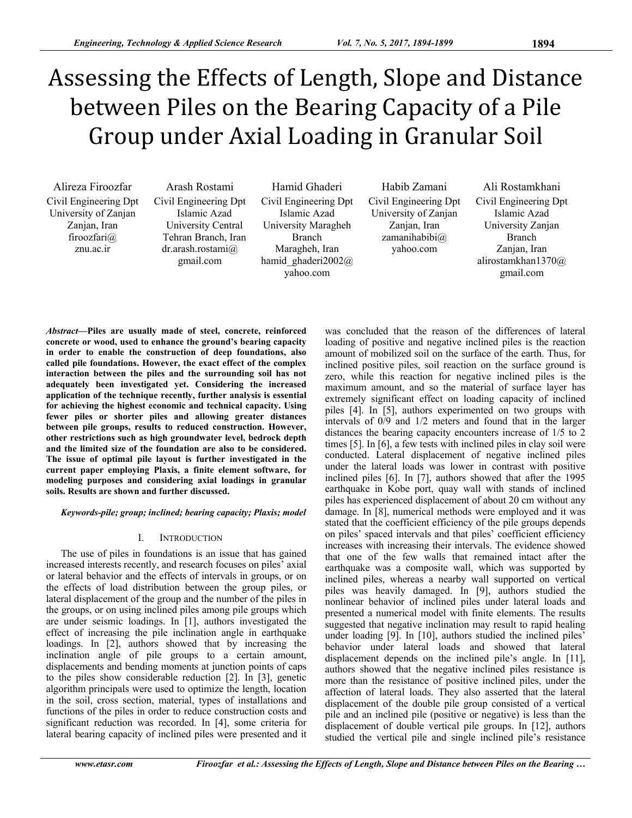# Assessing the Effects of Length, Slope and Distance between Piles on the Bearing Capacity of a Pile Group under Axial Loading in Granular Soil

Alireza Firoozfar Civil Engineering Dpt University of Zanjan Zanjan, Iran firoozfari@ znu.ac.ir

Arash Rostami Civil Engineering Dpt Islamic Azad University Central Tehran Branch, Iran dr.arash.rostami@ gmail.com

Hamid Ghaderi Civil Engineering Dpt Islamic Azad University Maragheh Branch Maragheh, Iran hamid ghaderi2002@ yahoo.com

Habib Zamani Civil Engineering Dpt University of Zanjan Zanjan, Iran zamanihabibi@ yahoo.com

Ali Rostamkhani Civil Engineering Dpt Islamic Azad University Zanjan Branch Zanjan, Iran alirostamkhan1370@ gmail.com

*Abstract***—Piles are usually made of steel, concrete, reinforced concrete or wood, used to enhance the ground's bearing capacity in order to enable the construction of deep foundations, also called pile foundations. However, the exact effect of the complex interaction between the piles and the surrounding soil has not adequately been investigated yet. Considering the increased application of the technique recently, further analysis is essential for achieving the highest economic and technical capacity. Using fewer piles or shorter piles and allowing greater distances between pile groups, results to reduced construction. However, other restrictions such as high groundwater level, bedrock depth and the limited size of the foundation are also to be considered. The issue of optimal pile layout is further investigated in the current paper employing Plaxis, a finite element software, for modeling purposes and considering axial loadings in granular soils. Results are shown and further discussed.** 

*Keywords-pile; group; inclined; bearing capacity; Plaxis; model* 

## I. INTRODUCTION

The use of piles in foundations is an issue that has gained increased interests recently, and research focuses on piles' axial or lateral behavior and the effects of intervals in groups, or on the effects of load distribution between the group piles, or lateral displacement of the group and the number of the piles in the groups, or on using inclined piles among pile groups which are under seismic loadings. In [1], authors investigated the effect of increasing the pile inclination angle in earthquake loadings. In [2], authors showed that by increasing the inclination angle of pile groups to a certain amount, displacements and bending moments at junction points of caps to the piles show considerable reduction [2]. In [3], genetic algorithm principals were used to optimize the length, location in the soil, cross section, material, types of installations and functions of the piles in order to reduce construction costs and significant reduction was recorded. In [4], some criteria for lateral bearing capacity of inclined piles were presented and it

was concluded that the reason of the differences of lateral loading of positive and negative inclined piles is the reaction amount of mobilized soil on the surface of the earth. Thus, for inclined positive piles, soil reaction on the surface ground is zero, while this reaction for negative inclined piles is the maximum amount, and so the material of surface layer has extremely significant effect on loading capacity of inclined piles [4]. In [5], authors experimented on two groups with intervals of 0/9 and 1/2 meters and found that in the larger distances the bearing capacity encounters increase of 1/5 to 2 times [5]. In [6], a few tests with inclined piles in clay soil were conducted. Lateral displacement of negative inclined piles under the lateral loads was lower in contrast with positive inclined piles [6]. In [7], authors showed that after the 1995 earthquake in Kobe port, quay wall with stands of inclined piles has experienced displacement of about 20 cm without any damage. In [8], numerical methods were employed and it was stated that the coefficient efficiency of the pile groups depends on piles' spaced intervals and that piles' coefficient efficiency increases with increasing their intervals. The evidence showed that one of the few walls that remained intact after the earthquake was a composite wall, which was supported by inclined piles, whereas a nearby wall supported on vertical piles was heavily damaged. In [9], authors studied the nonlinear behavior of inclined piles under lateral loads and presented a numerical model with finite elements. The results suggested that negative inclination may result to rapid healing under loading [9]. In [10], authors studied the inclined piles' behavior under lateral loads and showed that lateral displacement depends on the inclined pile's angle. In [11], authors showed that the negative inclined piles resistance is more than the resistance of positive inclined piles, under the affection of lateral loads. They also asserted that the lateral displacement of the double pile group consisted of a vertical pile and an inclined pile (positive or negative) is less than the displacement of double vertical pile groups. In [12], authors studied the vertical pile and single inclined pile's resistance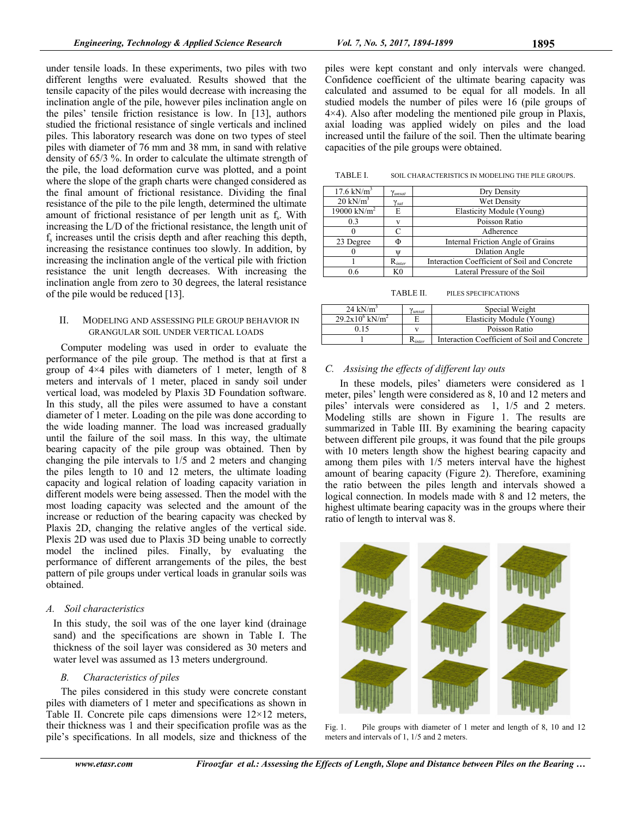under tensile loads. In these experiments, two piles with two different lengths were evaluated. Results showed that the tensile capacity of the piles would decrease with increasing the inclination angle of the pile, however piles inclination angle on the piles' tensile friction resistance is low. In [13], authors studied the frictional resistance of single verticals and inclined piles. This laboratory research was done on two types of steel piles with diameter of 76 mm and 38 mm, in sand with relative density of 65/3 %. In order to calculate the ultimate strength of the pile, the load deformation curve was plotted, and a point where the slope of the graph charts were changed considered as the final amount of frictional resistance. Dividing the final resistance of the pile to the pile length, determined the ultimate amount of frictional resistance of per length unit as f<sub>s</sub>. With increasing the L/D of the frictional resistance, the length unit of fs increases until the crisis depth and after reaching this depth, increasing the resistance continues too slowly. In addition, by increasing the inclination angle of the vertical pile with friction resistance the unit length decreases. With increasing the inclination angle from zero to 30 degrees, the lateral resistance of the pile would be reduced [13].

## II. MODELING AND ASSESSING PILE GROUP BEHAVIOR IN GRANGULAR SOIL UNDER VERTICAL LOADS

Computer modeling was used in order to evaluate the performance of the pile group. The method is that at first a group of 4×4 piles with diameters of 1 meter, length of 8 meters and intervals of 1 meter, placed in sandy soil under vertical load, was modeled by Plaxis 3D Foundation software. In this study, all the piles were assumed to have a constant diameter of 1 meter. Loading on the pile was done according to the wide loading manner. The load was increased gradually until the failure of the soil mass. In this way, the ultimate bearing capacity of the pile group was obtained. Then by changing the pile intervals to 1/5 and 2 meters and changing the piles length to 10 and 12 meters, the ultimate loading capacity and logical relation of loading capacity variation in different models were being assessed. Then the model with the most loading capacity was selected and the amount of the increase or reduction of the bearing capacity was checked by Plaxis 2D, changing the relative angles of the vertical side. Plexis 2D was used due to Plaxis 3D being unable to correctly model the inclined piles. Finally, by evaluating the performance of different arrangements of the piles, the best pattern of pile groups under vertical loads in granular soils was obtained.

# *A. Soil characteristics*

In this study, the soil was of the one layer kind (drainage sand) and the specifications are shown in Table I. The thickness of the soil layer was considered as 30 meters and water level was assumed as 13 meters underground.

# *B. Characteristics of piles*

The piles considered in this study were concrete constant piles with diameters of 1 meter and specifications as shown in Table II. Concrete pile caps dimensions were  $12\times12$  meters, their thickness was 1 and their specification profile was as the pile's specifications. In all models, size and thickness of the

meters and intervals of 1, 1/5 and 2 meters.

TABLE I. SOIL CHARACTERISTICS IN MODELING THE PILE GROUPS.

| $17.6 \text{ kN/m}^3$   | Yunsat         | Dry Density                                  |
|-------------------------|----------------|----------------------------------------------|
| $20 \text{ kN/m}^3$     | $\gamma_{sat}$ | Wet Density                                  |
| 19000 kN/m <sup>2</sup> | E              | Elasticity Module (Young)                    |
| 03                      | $\mathbf{V}$   | Poisson Ratio                                |
|                         |                | Adherence                                    |
| 23 Degree               | Ф              | Internal Friction Angle of Grains            |
|                         |                | <b>Dilation Angle</b>                        |
|                         | $R_{inter}$    | Interaction Coefficient of Soil and Concrete |
| 06                      | K <sub>0</sub> | Lateral Pressure of the Soil                 |

TABLE II. PILES SPECIFICATIONS

| 24 kN/ $m3$                     | 'unsat               | Special Weight                               |
|---------------------------------|----------------------|----------------------------------------------|
| $29.2x10^{6}$ kN/m <sup>2</sup> |                      | Elasticity Module (Young)                    |
| 0.15                            |                      | Poisson Ratio                                |
|                                 | $\mathbf{n}_{inter}$ | Interaction Coefficient of Soil and Concrete |

# *C. Assising the effects of different lay outs*

In these models, piles' diameters were considered as 1 meter, piles' length were considered as 8, 10 and 12 meters and piles' intervals were considered as 1, 1/5 and 2 meters. Modeling stills are shown in Figure 1. The results are summarized in Table III. By examining the bearing capacity between different pile groups, it was found that the pile groups with 10 meters length show the highest bearing capacity and among them piles with 1/5 meters interval have the highest amount of bearing capacity (Figure 2). Therefore, examining the ratio between the piles length and intervals showed a logical connection. In models made with 8 and 12 meters, the highest ultimate bearing capacity was in the groups where their ratio of length to interval was 8.

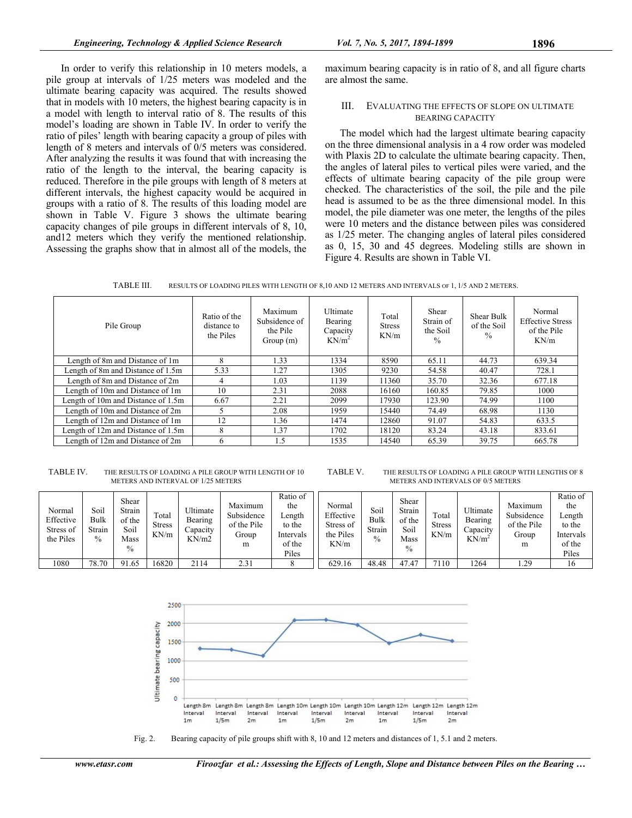In order to verify this relationship in 10 meters models, a pile group at intervals of 1/25 meters was modeled and the ultimate bearing capacity was acquired. The results showed that in models with 10 meters, the highest bearing capacity is in a model with length to interval ratio of 8. The results of this model's loading are shown in Table IV. In order to verify the ratio of piles' length with bearing capacity a group of piles with length of 8 meters and intervals of 0/5 meters was considered. After analyzing the results it was found that with increasing the ratio of the length to the interval, the bearing capacity is reduced. Therefore in the pile groups with length of 8 meters at different intervals, the highest capacity would be acquired in groups with a ratio of 8. The results of this loading model are shown in Table V. Figure 3 shows the ultimate bearing capacity changes of pile groups in different intervals of 8, 10, and12 meters which they verify the mentioned relationship. Assessing the graphs show that in almost all of the models, the

maximum bearing capacity is in ratio of 8, and all figure charts are almost the same.

#### III. EVALUATING THE EFFECTS OF SLOPE ON ULTIMATE BEARING CAPACITY

The model which had the largest ultimate bearing capacity on the three dimensional analysis in a 4 row order was modeled with Plaxis 2D to calculate the ultimate bearing capacity. Then, the angles of lateral piles to vertical piles were varied, and the effects of ultimate bearing capacity of the pile group were checked. The characteristics of the soil, the pile and the pile head is assumed to be as the three dimensional model. In this model, the pile diameter was one meter, the lengths of the piles were 10 meters and the distance between piles was considered as 1/25 meter. The changing angles of lateral piles considered as 0, 15, 30 and 45 degrees. Modeling stills are shown in Figure 4. Results are shown in Table VI.

TABLE III. RESULTS OF LOADING PILES WITH LENGTH OF 8,10 AND 12 METERS AND INTERVALS OF 1, 1/5 AND 2 METERS.

| Pile Group                         | Ratio of the<br>distance to<br>the Piles | Maximum<br>Subsidence of<br>the Pile<br>Group(m) | Ultimate<br>Bearing<br>Capacity<br>$KN/m^2$ | Total<br><b>Stress</b><br>KN/m | Shear<br>Strain of<br>the Soil<br>$\frac{0}{0}$ | Shear Bulk<br>of the Soil<br>$\frac{0}{0}$ | Normal<br><b>Effective Stress</b><br>of the Pile<br>KN/m |
|------------------------------------|------------------------------------------|--------------------------------------------------|---------------------------------------------|--------------------------------|-------------------------------------------------|--------------------------------------------|----------------------------------------------------------|
| Length of 8m and Distance of 1m    | 8                                        | 1.33                                             | 1334                                        | 8590                           | 65.11                                           | 44.73                                      | 639.34                                                   |
| Length of 8m and Distance of 1.5m  | 5.33                                     | 1.27                                             | 1305                                        | 9230                           | 54.58                                           | 40.47                                      | 728.1                                                    |
| Length of 8m and Distance of 2m    | 4                                        | 1.03                                             | 1139                                        | 11360                          | 35.70                                           | 32.36                                      | 677.18                                                   |
| Length of 10m and Distance of 1m   | 10                                       | 2.31                                             | 2088                                        | 16160                          | 160.85                                          | 79.85                                      | 1000                                                     |
| Length of 10m and Distance of 1.5m | 6.67                                     | 2.21                                             | 2099                                        | 17930                          | 123.90                                          | 74.99                                      | 1100                                                     |
| Length of 10m and Distance of 2m   |                                          | 2.08                                             | 1959                                        | 15440                          | 74.49                                           | 68.98                                      | 1130                                                     |
| Length of 12m and Distance of 1m   | 12                                       | 1.36                                             | 1474                                        | 12860                          | 91.07                                           | 54.83                                      | 633.5                                                    |
| Length of 12m and Distance of 1.5m | 8                                        | L <sub>37</sub>                                  | 1702                                        | 18120                          | 83.24                                           | 43.18                                      | 833.61                                                   |
| Length of 12m and Distance of 2m   | 6                                        | 1.5                                              | 1535                                        | 14540                          | 65.39                                           | 39.75                                      | 665.78                                                   |

TABLE IV. THE RESULTS OF LOADING A PILE GROUP WITH LENGTH OF 10 METERS AND INTERVAL OF 1/25 METERS

TABLE V. THE RESULTS OF LOADING A PILE GROUP WITH LENGTHS OF 8 METERS AND INTERVALS OF 0/5 METERS

| Normal<br>Effective<br>Stress of<br>the Piles | Soil<br>Bulk<br>Strain<br>$\%$ | Shear<br>Strain<br>of the<br>Soil<br>Mass<br>$\frac{0}{0}$ | Total<br><b>Stress</b><br>KN/m | Ultimate<br>Bearing<br>$\triangle$ apacity<br>KN/m2 | Maximum<br>Subsidence<br>of the Pile<br>Group<br>m | Ratio of<br>the<br>$\text{Length}$<br>to the<br>Intervals<br>of the<br>Piles | Normal<br>Effective<br>Stress of<br>the Piles<br>KN/m | Soil<br>Bulk<br>Strain<br>$\%$ | Shear<br>Strain<br>of the<br>Soil<br>Mass<br>$\frac{0}{0}$ | Total<br><b>Stress</b><br>KN/m | Ultimate<br>Bearing<br>$\triangle$ apacity<br>$KN/m^2$ | Maximum<br>Subsidence<br>of the Pile<br>Group<br>m | Ratio of<br>the<br>∟ength<br>to the<br>Intervals<br>of the<br>Piles |
|-----------------------------------------------|--------------------------------|------------------------------------------------------------|--------------------------------|-----------------------------------------------------|----------------------------------------------------|------------------------------------------------------------------------------|-------------------------------------------------------|--------------------------------|------------------------------------------------------------|--------------------------------|--------------------------------------------------------|----------------------------------------------------|---------------------------------------------------------------------|
| 1080                                          | 78.70                          | 91.65                                                      | 6820                           | 2114                                                | 2.31                                               |                                                                              | 629.16                                                | 48.48                          | 47.47                                                      | 7110                           | 1264                                                   | . 29                                               | 16                                                                  |



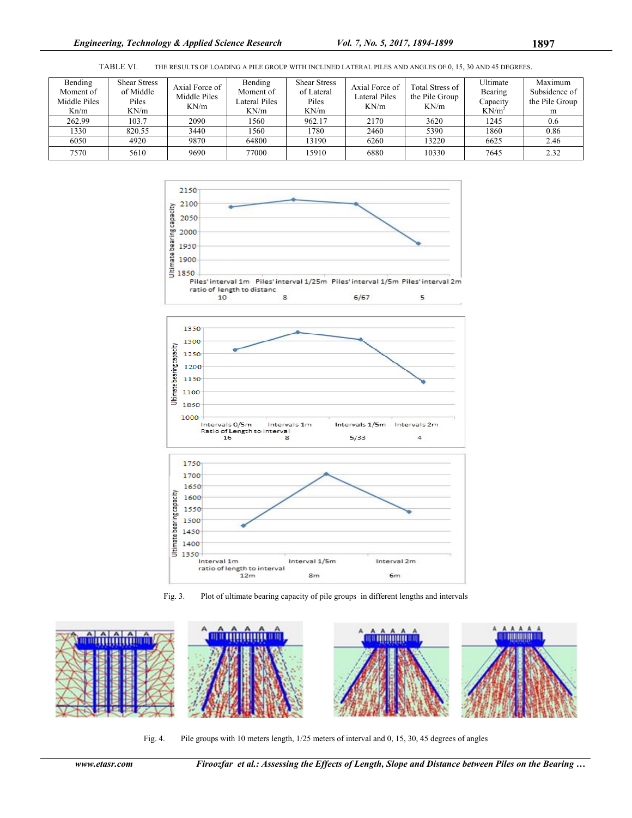TABLE VI. THE RESULTS OF LOADING A PILE GROUP WITH INCLINED LATERAL PILES AND ANGLES OF 0, 15, 30 AND 45 DEGREES.

| Bending<br>Moment of<br>Middle Piles<br>Kn/m | <b>Shear Stress</b><br>of Middle<br>Piles<br>KN/m | Axial Force of<br>Middle Piles<br>KN/m | Bending<br>Moment of<br>Lateral Piles<br>KN/m | <b>Shear Stress</b><br>of Lateral<br>Piles<br>KN/m | Axial Force of<br><b>Lateral Piles</b><br>KN/m | <b>Total Stress of</b><br>the Pile Group<br>KN/m | Ultimate<br>Bearing<br>Capacity<br>$KN/m^2$ | Maximum<br>Subsidence of<br>the Pile Group<br>m |
|----------------------------------------------|---------------------------------------------------|----------------------------------------|-----------------------------------------------|----------------------------------------------------|------------------------------------------------|--------------------------------------------------|---------------------------------------------|-------------------------------------------------|
| 262.99                                       | 103.7                                             | 2090                                   | 1560                                          | 962.17                                             | 2170                                           | 3620                                             | 1245                                        | 0.6                                             |
| 1330                                         | 820.55                                            | 3440                                   | 1560                                          | 1780                                               | 2460                                           | 5390                                             | 1860                                        | 0.86                                            |
| 6050                                         | 4920                                              | 9870                                   | 64800                                         | 13190                                              | 6260                                           | 13220                                            | 6625                                        | 2.46                                            |
| 7570                                         | 5610                                              | 9690                                   | 77000                                         | 15910                                              | 6880                                           | 10330                                            | 7645                                        | 2.32                                            |









Fig. 4. Pile groups with 10 meters length, 1/25 meters of interval and 0, 15, 30, 45 degrees of angles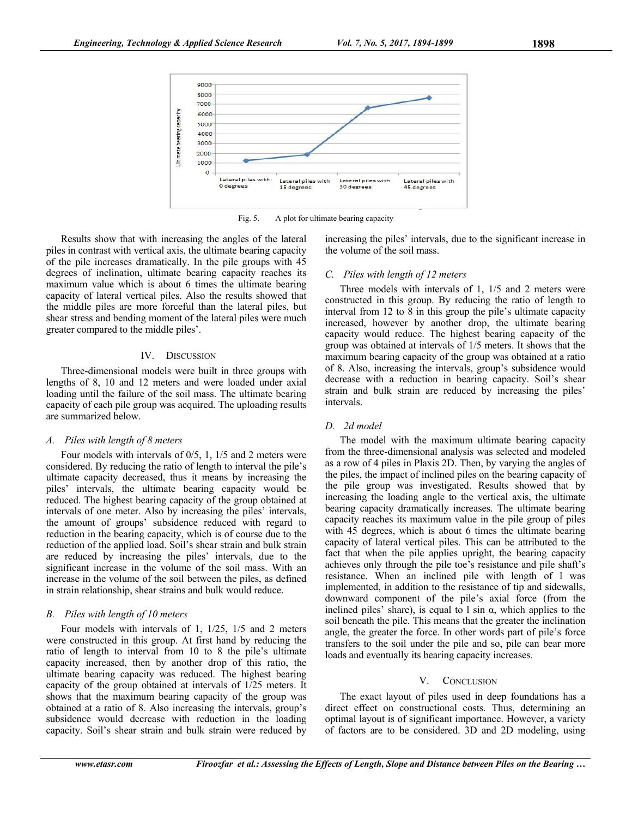

Fig. 5. A plot for ultimate bearing capacity

Results show that with increasing the angles of the lateral piles in contrast with vertical axis, the ultimate bearing capacity of the pile increases dramatically. In the pile groups with 45 degrees of inclination, ultimate bearing capacity reaches its maximum value which is about 6 times the ultimate bearing capacity of lateral vertical piles. Also the results showed that the middle piles are more forceful than the lateral piles, but shear stress and bending moment of the lateral piles were much greater compared to the middle piles'.

#### IV. DISCUSSION

Three-dimensional models were built in three groups with lengths of 8, 10 and 12 meters and were loaded under axial loading until the failure of the soil mass. The ultimate bearing capacity of each pile group was acquired. The uploading results are summarized below.

## *A. Piles with length of 8 meters*

Four models with intervals of 0/5, 1, 1/5 and 2 meters were considered. By reducing the ratio of length to interval the pile's ultimate capacity decreased, thus it means by increasing the piles' intervals, the ultimate bearing capacity would be reduced. The highest bearing capacity of the group obtained at intervals of one meter. Also by increasing the piles' intervals, the amount of groups' subsidence reduced with regard to reduction in the bearing capacity, which is of course due to the reduction of the applied load. Soil's shear strain and bulk strain are reduced by increasing the piles' intervals, due to the significant increase in the volume of the soil mass. With an increase in the volume of the soil between the piles, as defined in strain relationship, shear strains and bulk would reduce.

## *B. Piles with length of 10 meters*

Four models with intervals of 1, 1/25, 1/5 and 2 meters were constructed in this group. At first hand by reducing the ratio of length to interval from 10 to 8 the pile's ultimate capacity increased, then by another drop of this ratio, the ultimate bearing capacity was reduced. The highest bearing capacity of the group obtained at intervals of 1/25 meters. It shows that the maximum bearing capacity of the group was obtained at a ratio of 8. Also increasing the intervals, group's subsidence would decrease with reduction in the loading capacity. Soil's shear strain and bulk strain were reduced by increasing the piles' intervals, due to the significant increase in the volume of the soil mass.

#### *C. Piles with length of 12 meters*

Three models with intervals of 1, 1/5 and 2 meters were constructed in this group. By reducing the ratio of length to interval from 12 to 8 in this group the pile's ultimate capacity increased, however by another drop, the ultimate bearing capacity would reduce. The highest bearing capacity of the group was obtained at intervals of 1/5 meters. It shows that the maximum bearing capacity of the group was obtained at a ratio of 8. Also, increasing the intervals, group's subsidence would decrease with a reduction in bearing capacity. Soil's shear strain and bulk strain are reduced by increasing the piles' intervals.

## *D. 2d model*

The model with the maximum ultimate bearing capacity from the three-dimensional analysis was selected and modeled as a row of 4 piles in Plaxis 2D. Then, by varying the angles of the piles, the impact of inclined piles on the bearing capacity of the pile group was investigated. Results showed that by increasing the loading angle to the vertical axis, the ultimate bearing capacity dramatically increases. The ultimate bearing capacity reaches its maximum value in the pile group of piles with 45 degrees, which is about 6 times the ultimate bearing capacity of lateral vertical piles. This can be attributed to the fact that when the pile applies upright, the bearing capacity achieves only through the pile toe's resistance and pile shaft's resistance. When an inclined pile with length of l was implemented, in addition to the resistance of tip and sidewalls, downward component of the pile's axial force (from the inclined piles' share), is equal to l sin  $\alpha$ , which applies to the soil beneath the pile. This means that the greater the inclination angle, the greater the force. In other words part of pile's force transfers to the soil under the pile and so, pile can bear more loads and eventually its bearing capacity increases.

#### V. CONCLUSION

The exact layout of piles used in deep foundations has a direct effect on constructional costs. Thus, determining an optimal layout is of significant importance. However, a variety of factors are to be considered. 3D and 2D modeling, using